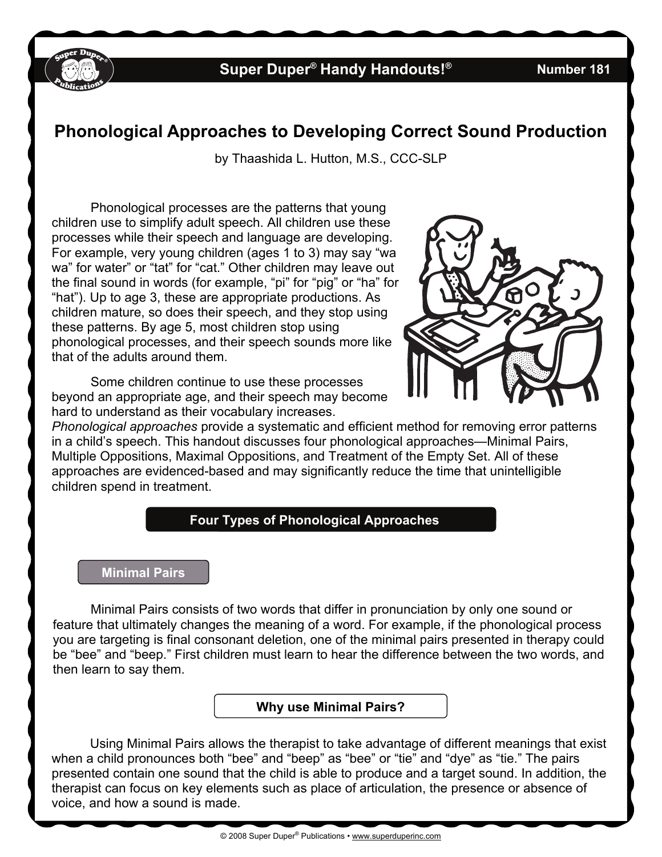

# **Super Duper® Handy Handouts!® Number 181**

# **Phonological Approaches to Developing Correct Sound Production**

by Thaashida L. Hutton, M.S., CCC-SLP

Phonological processes are the patterns that young children use to simplify adult speech. All children use these processes while their speech and language are developing. For example, very young children (ages 1 to 3) may say "wa wa" for water" or "tat" for "cat." Other children may leave out the final sound in words (for example, "pi" for "pig" or "ha" for "hat"). Up to age 3, these are appropriate productions. As children mature, so does their speech, and they stop using these patterns. By age 5, most children stop using phonological processes, and their speech sounds more like that of the adults around them.

Some children continue to use these processes beyond an appropriate age, and their speech may become hard to understand as their vocabulary increases.



*Phonological approaches* provide a systematic and efficient method for removing error patterns in a child's speech. This handout discusses four phonological approaches—Minimal Pairs, Multiple Oppositions, Maximal Oppositions, and Treatment of the Empty Set. All of these approaches are evidenced-based and may significantly reduce the time that unintelligible children spend in treatment.

## **Four Types of Phonological Approaches**

#### **Minimal Pairs**

 Minimal Pairs consists of two words that differ in pronunciation by only one sound or feature that ultimately changes the meaning of a word. For example, if the phonological process you are targeting is final consonant deletion, one of the minimal pairs presented in therapy could be "bee" and "beep." First children must learn to hear the difference between the two words, and then learn to say them.

#### **Why use Minimal Pairs?**

Using Minimal Pairs allows the therapist to take advantage of different meanings that exist when a child pronounces both "bee" and "beep" as "bee" or "tie" and "dye" as "tie." The pairs presented contain one sound that the child is able to produce and a target sound. In addition, the therapist can focus on key elements such as place of articulation, the presence or absence of voice, and how a sound is made.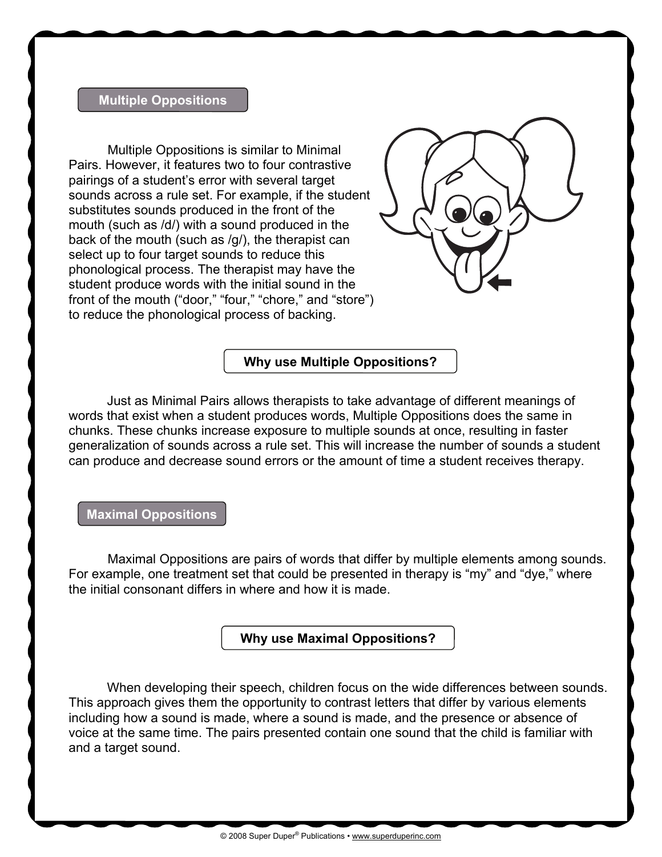#### **Multiple Oppositions**

 Multiple Oppositions is similar to Minimal Pairs. However, it features two to four contrastive pairings of a student's error with several target sounds across a rule set. For example, if the student substitutes sounds produced in the front of the mouth (such as /d/) with a sound produced in the back of the mouth (such as /g/), the therapist can select up to four target sounds to reduce this phonological process. The therapist may have the student produce words with the initial sound in the front of the mouth ("door," "four," "chore," and "store") to reduce the phonological process of backing.



#### **Why use Multiple Oppositions?**

Just as Minimal Pairs allows therapists to take advantage of different meanings of words that exist when a student produces words, Multiple Oppositions does the same in chunks. These chunks increase exposure to multiple sounds at once, resulting in faster generalization of sounds across a rule set. This will increase the number of sounds a student can produce and decrease sound errors or the amount of time a student receives therapy.

**Maximal Oppositions** 

Maximal Oppositions are pairs of words that differ by multiple elements among sounds. For example, one treatment set that could be presented in therapy is "my" and "dye," where the initial consonant differs in where and how it is made.

**Why use Maximal Oppositions?** 

When developing their speech, children focus on the wide differences between sounds. This approach gives them the opportunity to contrast letters that differ by various elements including how a sound is made, where a sound is made, and the presence or absence of voice at the same time. The pairs presented contain one sound that the child is familiar with and a target sound.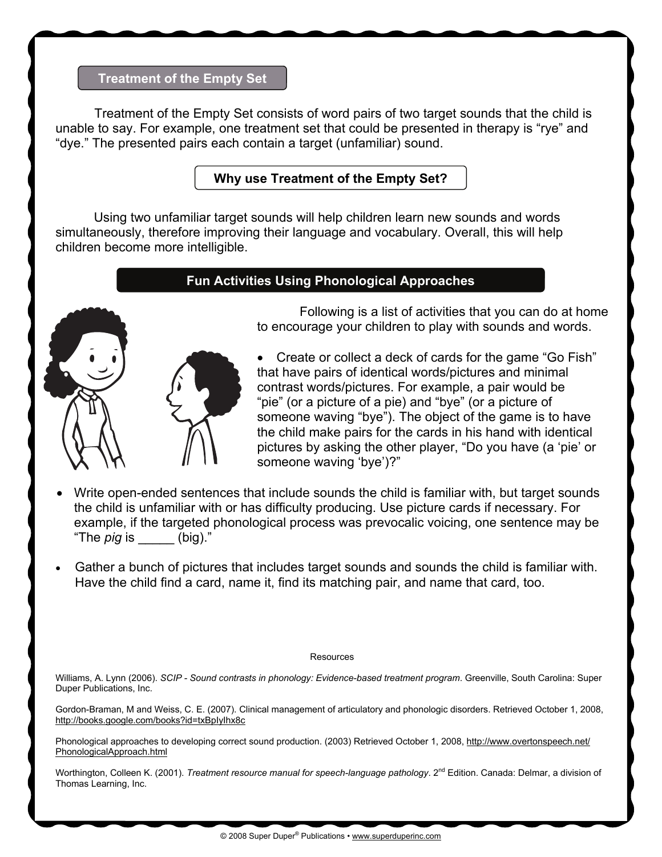## **Treatment of the Empty Set**

 Treatment of the Empty Set consists of word pairs of two target sounds that the child is unable to say. For example, one treatment set that could be presented in therapy is "rye" and "dye." The presented pairs each contain a target (unfamiliar) sound.

**Why use Treatment of the Empty Set?** 

Using two unfamiliar target sounds will help children learn new sounds and words simultaneously, therefore improving their language and vocabulary. Overall, this will help children become more intelligible.

## **Fun Activities Using Phonological Approaches**



Ι Following is a list of activities that you can do at home to encourage your children to play with sounds and words.

• Create or collect a deck of cards for the game "Go Fish" that have pairs of identical words/pictures and minimal contrast words/pictures. For example, a pair would be "pie" (or a picture of a pie) and "bye" (or a picture of someone waving "bye"). The object of the game is to have the child make pairs for the cards in his hand with identical pictures by asking the other player, "Do you have (a 'pie' or someone waving 'bye')?"

- Write open-ended sentences that include sounds the child is familiar with, but target sounds the child is unfamiliar with or has difficulty producing. Use picture cards if necessary. For example, if the targeted phonological process was prevocalic voicing, one sentence may be "The *pig* is \_\_\_\_\_ (big)."
- Gather a bunch of pictures that includes target sounds and sounds the child is familiar with. Have the child find a card, name it, find its matching pair, and name that card, too.

#### **Resources**

Williams, A. Lynn (2006). *SCIP - Sound contrasts in phonology: Evidence-based treatment program*. Greenville, South Carolina: Super Duper Publications, Inc.

Gordon-Braman, M and Weiss, C. E. (2007). Clinical management of articulatory and phonologic disorders. Retrieved October 1, 2008, <http://books.google.com/books?id=txBpIyIhx8c>

Phonological approaches to developing correct sound production. (2003) Retrieved October 1, 2008, [http://www.overtonspeech.net/](http://www.overtonspeech.net/PhonologicalApproach.html) [PhonologicalApproach.html](http://www.overtonspeech.net/PhonologicalApproach.html)

Worthington, Colleen K. (2001). *Treatment resource manual for speech-language pathology*. 2<sup>nd</sup> Edition. Canada: Delmar, a division of Thomas Learning, Inc.